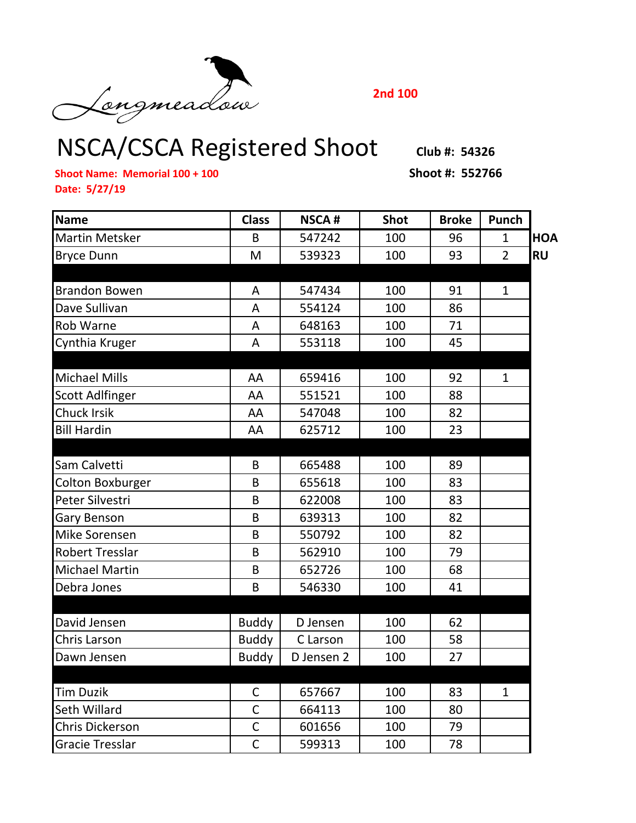Longmeadou

**2nd 100**

## NSCA/CSCA Registered Shoot **Club #: 54326**

**Shoot Name: Memorial 100 + 100 Shoot #: 552766 Date: 5/27/19**

| <b>Name</b>             | <b>Class</b> | <b>NSCA#</b> | <b>Shot</b> | <b>Broke</b> | Punch          |            |
|-------------------------|--------------|--------------|-------------|--------------|----------------|------------|
| <b>Martin Metsker</b>   | B            | 547242       | 100         | 96           | $\mathbf{1}$   | <b>HOA</b> |
| <b>Bryce Dunn</b>       | M            | 539323       | 100         | 93           | $\overline{2}$ | <b>RU</b>  |
|                         |              |              |             |              |                |            |
| <b>Brandon Bowen</b>    | A            | 547434       | 100         | 91           | $\mathbf{1}$   |            |
| Dave Sullivan           | A            | 554124       | 100         | 86           |                |            |
| <b>Rob Warne</b>        | A            | 648163       | 100         | 71           |                |            |
| Cynthia Kruger          | A            | 553118       | 100         | 45           |                |            |
|                         |              |              |             |              |                |            |
| <b>Michael Mills</b>    | AA           | 659416       | 100         | 92           | $\mathbf{1}$   |            |
| <b>Scott Adlfinger</b>  | AA           | 551521       | 100         | 88           |                |            |
| <b>Chuck Irsik</b>      | AA           | 547048       | 100         | 82           |                |            |
| <b>Bill Hardin</b>      | AA           | 625712       | 100         | 23           |                |            |
|                         |              |              |             |              |                |            |
| Sam Calvetti            | B            | 665488       | 100         | 89           |                |            |
| <b>Colton Boxburger</b> | B            | 655618       | 100         | 83           |                |            |
| Peter Silvestri         | B            | 622008       | 100         | 83           |                |            |
| <b>Gary Benson</b>      | B            | 639313       | 100         | 82           |                |            |
| Mike Sorensen           | B            | 550792       | 100         | 82           |                |            |
| <b>Robert Tresslar</b>  | B            | 562910       | 100         | 79           |                |            |
| <b>Michael Martin</b>   | B            | 652726       | 100         | 68           |                |            |
| Debra Jones             | B            | 546330       | 100         | 41           |                |            |
|                         |              |              |             |              |                |            |
| David Jensen            | <b>Buddy</b> | D Jensen     | 100         | 62           |                |            |
| Chris Larson            | <b>Buddy</b> | C Larson     | 100         | 58           |                |            |
| Dawn Jensen             | <b>Buddy</b> | D Jensen 2   | 100         | 27           |                |            |
|                         |              |              |             |              |                |            |
| <b>Tim Duzik</b>        | $\mathsf C$  | 657667       | 100         | 83           | $\mathbf{1}$   |            |
| Seth Willard            | $\mathsf{C}$ | 664113       | 100         | 80           |                |            |
| <b>Chris Dickerson</b>  | $\mathsf{C}$ | 601656       | 100         | 79           |                |            |
| <b>Gracie Tresslar</b>  | $\mathsf{C}$ | 599313       | 100         | 78           |                |            |